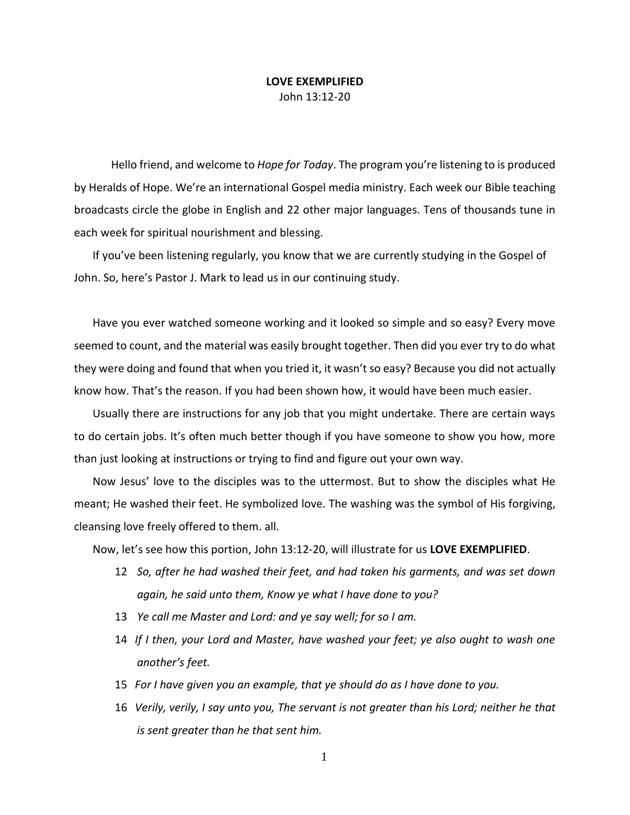## **LOVE EXEMPLIFIED** John 13:12-20

Hello friend, and welcome to *Hope for Today*. The program you're listening to is produced by Heralds of Hope. We're an international Gospel media ministry. Each week our Bible teaching broadcasts circle the globe in English and 22 other major languages. Tens of thousands tune in each week for spiritual nourishment and blessing.

If you've been listening regularly, you know that we are currently studying in the Gospel of John. So, here's Pastor J. Mark to lead us in our continuing study.

Have you ever watched someone working and it looked so simple and so easy? Every move seemed to count, and the material was easily brought together. Then did you ever try to do what they were doing and found that when you tried it, it wasn't so easy? Because you did not actually know how. That's the reason. If you had been shown how, it would have been much easier.

Usually there are instructions for any job that you might undertake. There are certain ways to do certain jobs. It's often much better though if you have someone to show you how, more than just looking at instructions or trying to find and figure out your own way.

Now Jesus' love to the disciples was to the uttermost. But to show the disciples what He meant; He washed their feet. He symbolized love. The washing was the symbol of His forgiving, cleansing love freely offered to them. all.

Now, let's see how this portion, John 13:12-20, will illustrate for us **LOVE EXEMPLIFIED**.

- 12 *So, after he had washed their feet, and had taken his garments, and was set down again, he said unto them, Know ye what I have done to you?*
- 13 *Ye call me Master and Lord: and ye say well; for so I am.*
- 14 *If I then, your Lord and Master, have washed your feet; ye also ought to wash one another's feet.*
- 15 *For I have given you an example, that ye should do as I have done to you.*
- 16 *Verily, verily, I say unto you, The servant is not greater than his Lord; neither he that is sent greater than he that sent him.*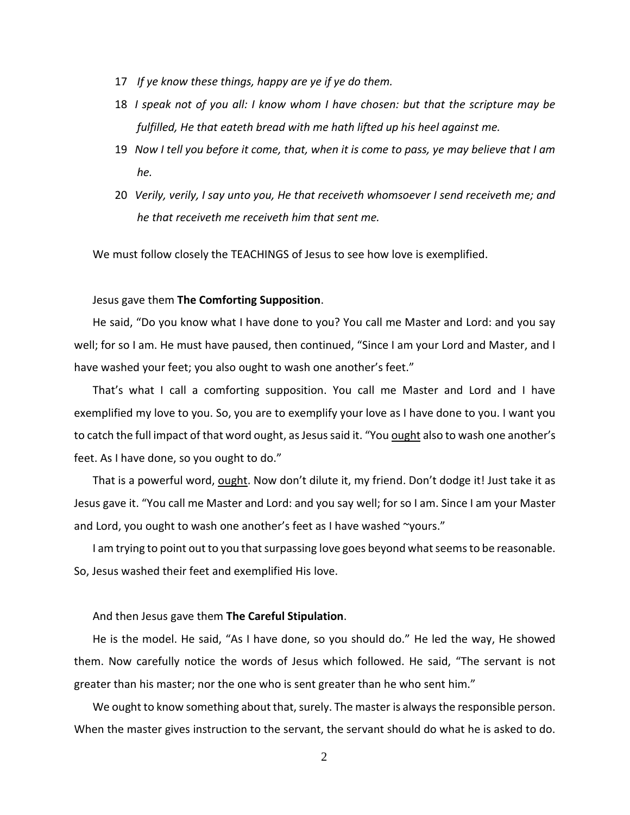- 17 *If ye know these things, happy are ye if ye do them.*
- 18 *I speak not of you all: I know whom I have chosen: but that the scripture may be fulfilled, He that eateth bread with me hath lifted up his heel against me.*
- 19 *Now I tell you before it come, that, when it is come to pass, ye may believe that I am he.*
- 20 *Verily, verily, I say unto you, He that receiveth whomsoever I send receiveth me; and he that receiveth me receiveth him that sent me.*

We must follow closely the TEACHINGS of Jesus to see how love is exemplified.

## Jesus gave them **The Comforting Supposition**.

He said, "Do you know what I have done to you? You call me Master and Lord: and you say well; for so I am. He must have paused, then continued, "Since I am your Lord and Master, and I have washed your feet; you also ought to wash one another's feet."

That's what I call a comforting supposition. You call me Master and Lord and I have exemplified my love to you. So, you are to exemplify your love as I have done to you. I want you to catch the full impact of that word ought, as Jesus said it. "You ought also to wash one another's feet. As I have done, so you ought to do."

That is a powerful word, ought. Now don't dilute it, my friend. Don't dodge it! Just take it as Jesus gave it. "You call me Master and Lord: and you say well; for so I am. Since I am your Master and Lord, you ought to wash one another's feet as I have washed ~yours."

I am trying to point out to you that surpassing love goes beyond what seems to be reasonable. So, Jesus washed their feet and exemplified His love.

## And then Jesus gave them **The Careful Stipulation**.

He is the model. He said, "As I have done, so you should do." He led the way, He showed them. Now carefully notice the words of Jesus which followed. He said, "The servant is not greater than his master; nor the one who is sent greater than he who sent him."

We ought to know something about that, surely. The master is always the responsible person. When the master gives instruction to the servant, the servant should do what he is asked to do.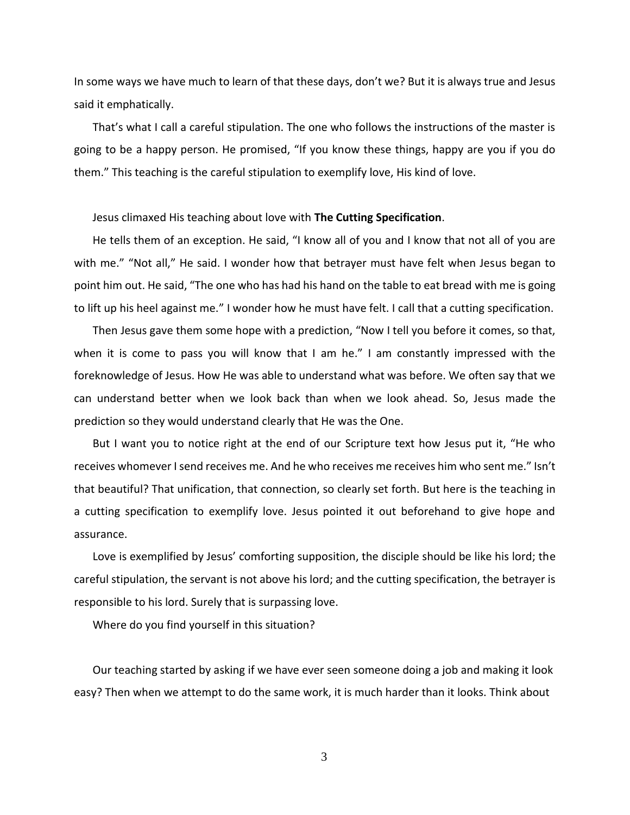In some ways we have much to learn of that these days, don't we? But it is always true and Jesus said it emphatically.

That's what I call a careful stipulation. The one who follows the instructions of the master is going to be a happy person. He promised, "If you know these things, happy are you if you do them." This teaching is the careful stipulation to exemplify love, His kind of love.

Jesus climaxed His teaching about love with **The Cutting Specification**.

He tells them of an exception. He said, "I know all of you and I know that not all of you are with me." "Not all," He said. I wonder how that betrayer must have felt when Jesus began to point him out. He said, "The one who has had his hand on the table to eat bread with me is going to lift up his heel against me." I wonder how he must have felt. I call that a cutting specification.

Then Jesus gave them some hope with a prediction, "Now I tell you before it comes, so that, when it is come to pass you will know that I am he." I am constantly impressed with the foreknowledge of Jesus. How He was able to understand what was before. We often say that we can understand better when we look back than when we look ahead. So, Jesus made the prediction so they would understand clearly that He was the One.

But I want you to notice right at the end of our Scripture text how Jesus put it, "He who receives whomever I send receives me. And he who receives me receives him who sent me." Isn't that beautiful? That unification, that connection, so clearly set forth. But here is the teaching in a cutting specification to exemplify love. Jesus pointed it out beforehand to give hope and assurance.

Love is exemplified by Jesus' comforting supposition, the disciple should be like his lord; the careful stipulation, the servant is not above his lord; and the cutting specification, the betrayer is responsible to his lord. Surely that is surpassing love.

Where do you find yourself in this situation?

Our teaching started by asking if we have ever seen someone doing a job and making it look easy? Then when we attempt to do the same work, it is much harder than it looks. Think about

3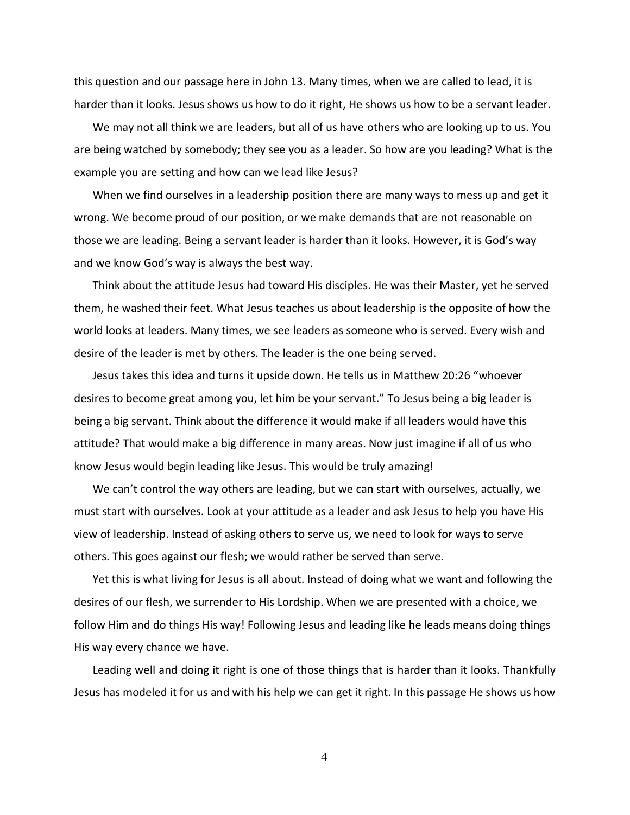this question and our passage here in John 13. Many times, when we are called to lead, it is harder than it looks. Jesus shows us how to do it right, He shows us how to be a servant leader.

We may not all think we are leaders, but all of us have others who are looking up to us. You are being watched by somebody; they see you as a leader. So how are you leading? What is the example you are setting and how can we lead like Jesus?

When we find ourselves in a leadership position there are many ways to mess up and get it wrong. We become proud of our position, or we make demands that are not reasonable on those we are leading. Being a servant leader is harder than it looks. However, it is God's way and we know God's way is always the best way.

Think about the attitude Jesus had toward His disciples. He was their Master, yet he served them, he washed their feet. What Jesus teaches us about leadership is the opposite of how the world looks at leaders. Many times, we see leaders as someone who is served. Every wish and desire of the leader is met by others. The leader is the one being served.

Jesus takes this idea and turns it upside down. He tells us in Matthew 20:26 "whoever desires to become great among you, let him be your servant." To Jesus being a big leader is being a big servant. Think about the difference it would make if all leaders would have this attitude? That would make a big difference in many areas. Now just imagine if all of us who know Jesus would begin leading like Jesus. This would be truly amazing!

We can't control the way others are leading, but we can start with ourselves, actually, we must start with ourselves. Look at your attitude as a leader and ask Jesus to help you have His view of leadership. Instead of asking others to serve us, we need to look for ways to serve others. This goes against our flesh; we would rather be served than serve.

Yet this is what living for Jesus is all about. Instead of doing what we want and following the desires of our flesh, we surrender to His Lordship. When we are presented with a choice, we follow Him and do things His way! Following Jesus and leading like he leads means doing things His way every chance we have.

Leading well and doing it right is one of those things that is harder than it looks. Thankfully Jesus has modeled it for us and with his help we can get it right. In this passage He shows us how

4